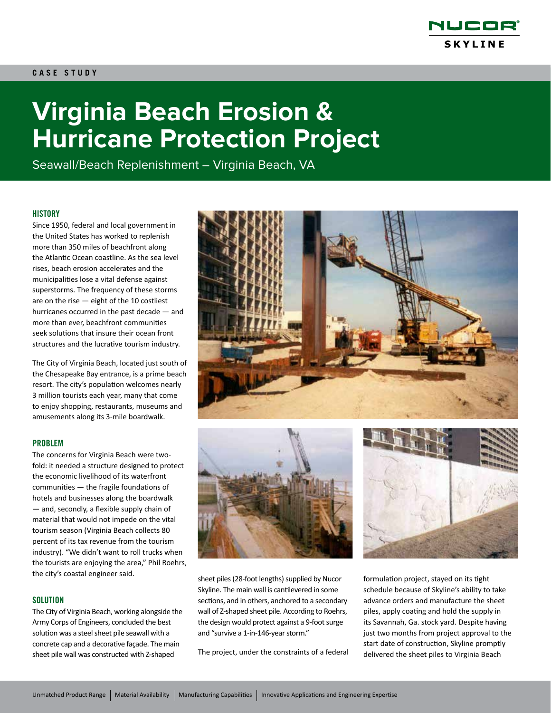

# **CASE STUDY**

# **Virginia Beach Erosion & Hurricane Protection Project**

Seawall/Beach Replenishment – Virginia Beach, VA

#### **HISTORY**

Since 1950, federal and local government in the United States has worked to replenish more than 350 miles of beachfront along the Atlantic Ocean coastline. As the sea level rises, beach erosion accelerates and the municipalities lose a vital defense against superstorms. The frequency of these storms are on the rise — eight of the 10 costliest hurricanes occurred in the past decade — and more than ever, beachfront communities seek solutions that insure their ocean front structures and the lucrative tourism industry.

The City of Virginia Beach, located just south of the Chesapeake Bay entrance, is a prime beach resort. The city's population welcomes nearly 3 million tourists each year, many that come to enjoy shopping, restaurants, museums and amusements along its 3-mile boardwalk.

#### PROBLEM

The concerns for Virginia Beach were twofold: it needed a structure designed to protect the economic livelihood of its waterfront communities — the fragile foundations of hotels and businesses along the boardwalk — and, secondly, a flexible supply chain of material that would not impede on the vital tourism season (Virginia Beach collects 80 percent of its tax revenue from the tourism industry). "We didn't want to roll trucks when the tourists are enjoying the area," Phil Roehrs, the city's coastal engineer said.

#### **SOLUTION**

The City of Virginia Beach, working alongside the Army Corps of Engineers, concluded the best solution was a steel sheet pile seawall with a concrete cap and a decorative façade. The main sheet pile wall was constructed with Z-shaped





sheet piles (28-foot lengths) supplied by Nucor Skyline. The main wall is cantilevered in some sections, and in others, anchored to a secondary wall of Z-shaped sheet pile. According to Roehrs, the design would protect against a 9-foot surge and "survive a 1-in-146-year storm."

The project, under the constraints of a federal

formulation project, stayed on its tight schedule because of Skyline's ability to take advance orders and manufacture the sheet piles, apply coating and hold the supply in its Savannah, Ga. stock yard. Despite having just two months from project approval to the start date of construction, Skyline promptly delivered the sheet piles to Virginia Beach